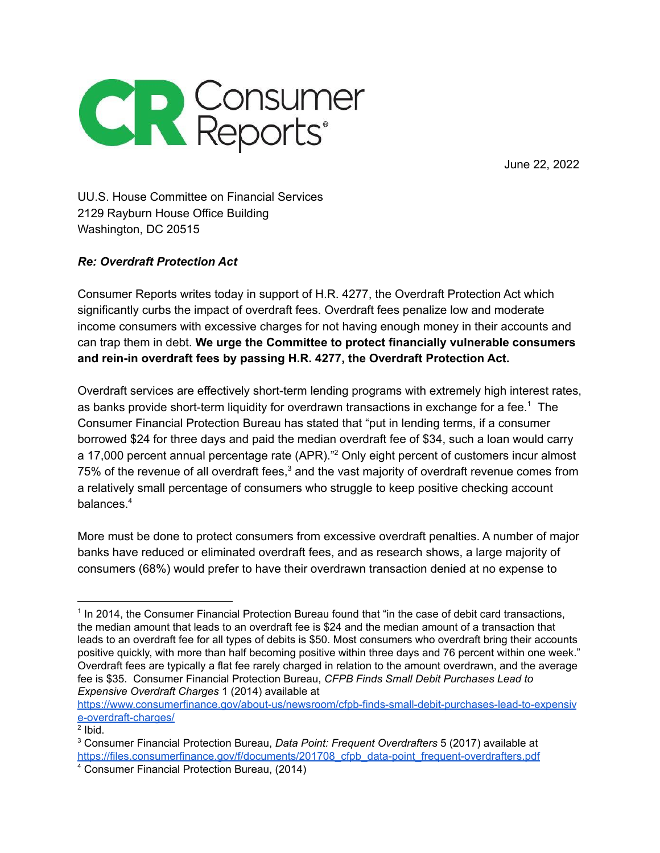

June 22, 2022

UU.S. House Committee on Financial Services 2129 Rayburn House Office Building Washington, DC 20515

## *Re: Overdraft Protection Act*

Consumer Reports writes today in support of H.R. 4277, the Overdraft Protection Act which significantly curbs the impact of overdraft fees. Overdraft fees penalize low and moderate income consumers with excessive charges for not having enough money in their accounts and can trap them in debt. **We urge the Committee to protect financially vulnerable consumers and rein-in overdraft fees by passing H.R. 4277, the Overdraft Protection Act.**

Overdraft services are effectively short-term lending programs with extremely high interest rates, as banks provide short-term liquidity for overdrawn transactions in exchange for a fee.<sup>1</sup> The Consumer Financial Protection Bureau has stated that "put in lending terms, if a consumer borrowed \$24 for three days and paid the median overdraft fee of \$34, such a loan would carry a 17,000 percent annual percentage rate (APR)."<sup>2</sup> Only eight percent of customers incur almost 75% of the revenue of all overdraft fees, $3$  and the vast majority of overdraft revenue comes from a relatively small percentage of consumers who struggle to keep positive checking account balances. 4

More must be done to protect consumers from excessive overdraft penalties. A number of major banks have reduced or eliminated overdraft fees, and as research shows, a large majority of consumers (68%) would prefer to have their overdrawn transaction denied at no expense to

[https://www.consumerfinance.gov/about-us/newsroom/cfpb-finds-small-debit-purchases-lead-to-expensiv](https://www.consumerfinance.gov/about-us/newsroom/cfpb-finds-small-debit-purchases-lead-to-expensive-overdraft-charges/) [e-overdraft-charges/](https://www.consumerfinance.gov/about-us/newsroom/cfpb-finds-small-debit-purchases-lead-to-expensive-overdraft-charges/)

<sup>&</sup>lt;sup>1</sup> In 2014, the Consumer Financial Protection Bureau found that "in the case of debit card transactions, the median amount that leads to an overdraft fee is \$24 and the median amount of a transaction that leads to an overdraft fee for all types of debits is \$50. Most consumers who overdraft bring their accounts positive quickly, with more than half becoming positive within three days and 76 percent within one week." Overdraft fees are typically a flat fee rarely charged in relation to the amount overdrawn, and the average fee is \$35. Consumer Financial Protection Bureau, *CFPB Finds Small Debit Purchases Lead to Expensive Overdraft Charges* 1 (2014) available at

 $2$  lbid.

<sup>3</sup> Consumer Financial Protection Bureau, *Data Point: Frequent Overdrafters* 5 (2017) available at [https://files.consumerfinance.gov/f/documents/201708\\_cfpb\\_data-point\\_frequent-overdrafters.pdf](https://files.consumerfinance.gov/f/documents/201708_cfpb_data-point_frequent-overdrafters.pdf)

<sup>4</sup> Consumer Financial Protection Bureau, (2014)